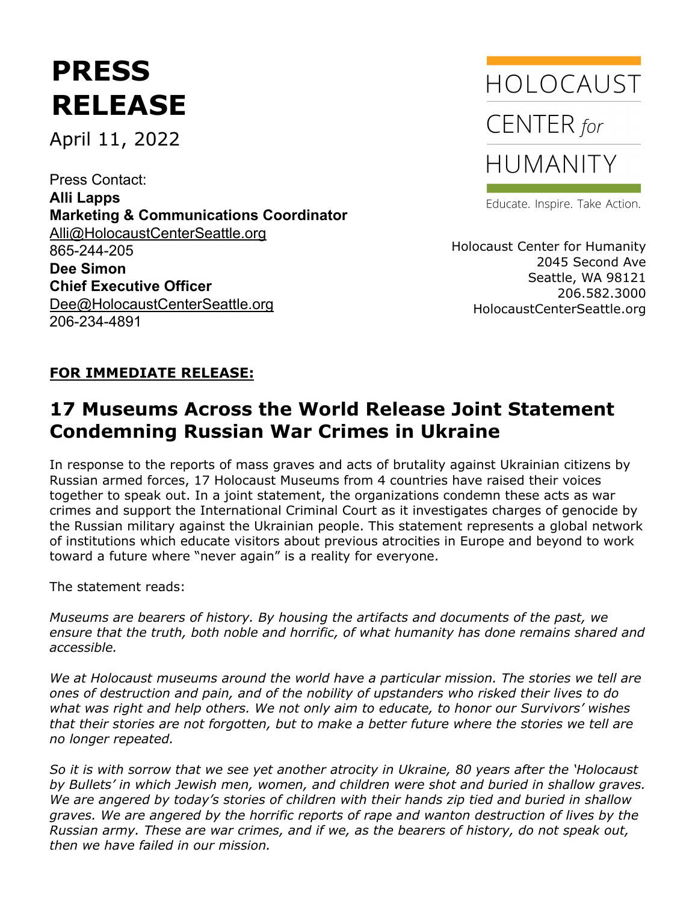# **PRESS RELEASE**

April 11, 2022

Press Contact: **Alli Lapps Marketing & Communications Coordinator** [Alli@HolocaustCenterSeattle.org](mailto:Alli@HolocaustCenterSeattle.org) 865-244-205 **Dee Simon Chief Executive Officer** [Dee@HolocaustCenterSeattle.org](mailto:Dee@HolocaustCenterSeattle.org) 206-234-4891



Educate. Inspire. Take Action.

Holocaust Center for Humanity 2045 Second Ave Seattle, WA 98121 206.582.3000 HolocaustCenterSeattle.org

## **FOR IMMEDIATE RELEASE:**

# **17 Museums Across the World Release Joint Statement Condemning Russian War Crimes in Ukraine**

In response to the reports of mass graves and acts of brutality against Ukrainian citizens by Russian armed forces, 17 Holocaust Museums from 4 countries have raised their voices together to speak out. In a joint statement, the organizations condemn these acts as war crimes and support the International Criminal Court as it investigates charges of genocide by the Russian military against the Ukrainian people. This statement represents a global network of institutions which educate visitors about previous atrocities in Europe and beyond to work toward a future where "never again" is a reality for everyone.

The statement reads:

*Museums are bearers of history. By housing the artifacts and documents of the past, we ensure that the truth, both noble and horrific, of what humanity has done remains shared and accessible.*

*We at Holocaust museums around the world have a particular mission. The stories we tell are ones of destruction and pain, and of the nobility of upstanders who risked their lives to do what was right and help others. We not only aim to educate, to honor our Survivors' wishes that their stories are not forgotten, but to make a better future where the stories we tell are no longer repeated.*

*So it is with sorrow that we see yet another atrocity in Ukraine, 80 years after the 'Holocaust by Bullets' in which Jewish men, women, and children were shot and buried in shallow graves. We are angered by today's stories of children with their hands zip tied and buried in shallow graves. We are angered by the horrific reports of rape and wanton destruction of lives by the Russian army. These are war crimes, and if we, as the bearers of history, do not speak out, then we have failed in our mission.*